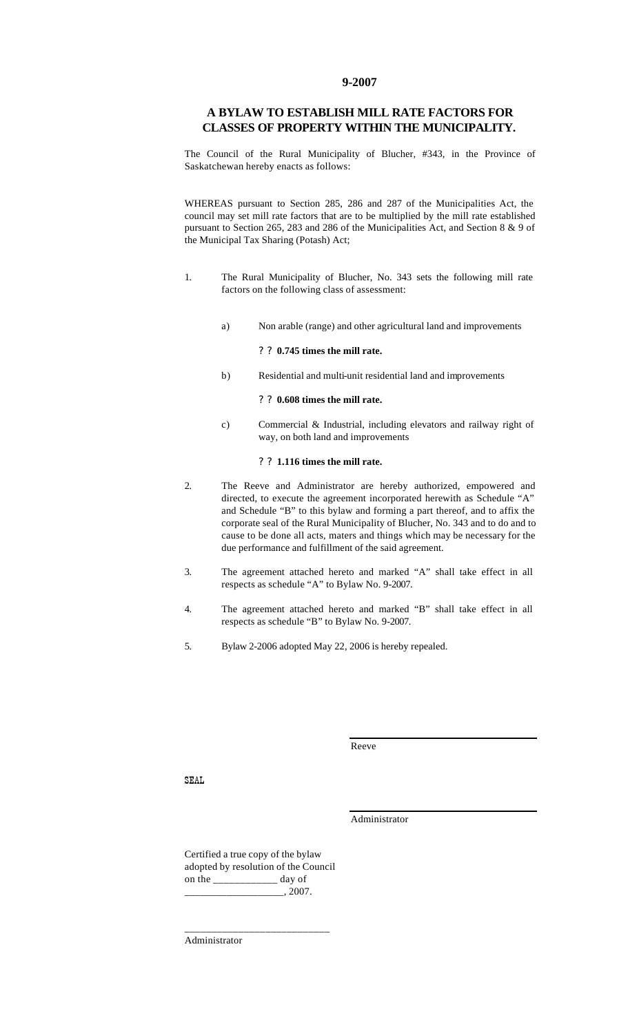#### **9-2007**

### **A BYLAW TO ESTABLISH MILL RATE FACTORS FOR CLASSES OF PROPERTY WITHIN THE MUNICIPALITY.**

The Council of the Rural Municipality of Blucher, #343, in the Province of Saskatchewan hereby enacts as follows:

WHEREAS pursuant to Section 285, 286 and 287 of the Municipalities Act, the council may set mill rate factors that are to be multiplied by the mill rate established pursuant to Section 265, 283 and 286 of the Municipalities Act, and Section 8 & 9 of the Municipal Tax Sharing (Potash) Act;

- 1. The Rural Municipality of Blucher, No. 343 sets the following mill rate factors on the following class of assessment:
	- a) Non arable (range) and other agricultural land and improvements

#### ? ? **0.745 times the mill rate.**

b) Residential and multi-unit residential land and improvements

#### ? ? **0.608 times the mill rate.**

c) Commercial & Industrial, including elevators and railway right of way, on both land and improvements

#### ? ? **1.116 times the mill rate.**

- 2. The Reeve and Administrator are hereby authorized, empowered and directed, to execute the agreement incorporated herewith as Schedule "A" and Schedule "B" to this bylaw and forming a part thereof, and to affix the corporate seal of the Rural Municipality of Blucher, No. 343 and to do and to cause to be done all acts, maters and things which may be necessary for the due performance and fulfillment of the said agreement.
- 3. The agreement attached hereto and marked "A" shall take effect in all respects as schedule "A" to Bylaw No. 9-2007.
- 4. The agreement attached hereto and marked "B" shall take effect in all respects as schedule "B" to Bylaw No. 9-2007.
- 5. Bylaw 2-2006 adopted May 22, 2006 is hereby repealed.

Reeve

SEAL

Administrator

Certified a true copy of the bylaw adopted by resolution of the Council on the \_\_\_\_\_\_\_\_\_\_\_\_ day of \_\_\_\_\_\_\_\_\_\_\_\_\_\_\_\_\_\_\_, 2007.

\_\_\_\_\_\_\_\_\_\_\_\_\_\_\_\_\_\_\_\_\_\_\_\_\_\_\_

Administrator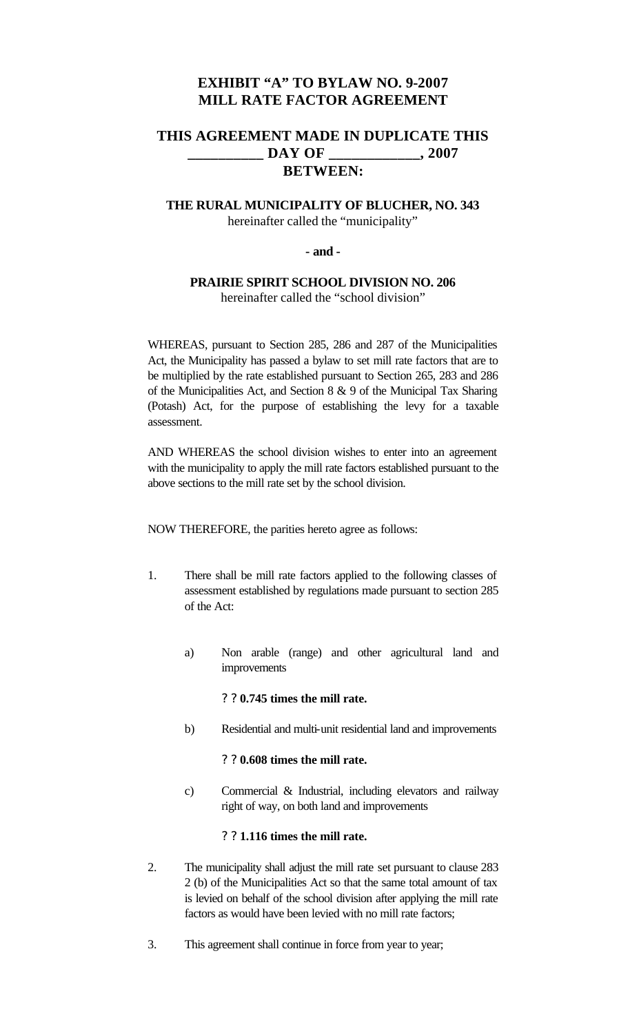# **EXHIBIT "A" TO BYLAW NO. 9-2007 MILL RATE FACTOR AGREEMENT**

# **THIS AGREEMENT MADE IN DUPLICATE THIS \_\_\_\_\_\_\_\_\_\_ DAY OF \_\_\_\_\_\_\_\_\_\_\_\_, 2007 BETWEEN:**

## **THE RURAL MUNICIPALITY OF BLUCHER, NO. 343** hereinafter called the "municipality"

### **- and -**

## **PRAIRIE SPIRIT SCHOOL DIVISION NO. 206** hereinafter called the "school division"

WHEREAS, pursuant to Section 285, 286 and 287 of the Municipalities Act, the Municipality has passed a bylaw to set mill rate factors that are to be multiplied by the rate established pursuant to Section 265, 283 and 286 of the Municipalities Act, and Section 8 & 9 of the Municipal Tax Sharing (Potash) Act, for the purpose of establishing the levy for a taxable assessment.

AND WHEREAS the school division wishes to enter into an agreement with the municipality to apply the mill rate factors established pursuant to the above sections to the mill rate set by the school division.

NOW THEREFORE, the parities hereto agree as follows:

- 1. There shall be mill rate factors applied to the following classes of assessment established by regulations made pursuant to section 285 of the Act:
	- a) Non arable (range) and other agricultural land and improvements

### ? ? **0.745 times the mill rate.**

b) Residential and multi-unit residential land and improvements

### ? ? **0.608 times the mill rate.**

c) Commercial & Industrial, including elevators and railway right of way, on both land and improvements

### ? ? **1.116 times the mill rate.**

- 2. The municipality shall adjust the mill rate set pursuant to clause 283 2 (b) of the Municipalities Act so that the same total amount of tax is levied on behalf of the school division after applying the mill rate factors as would have been levied with no mill rate factors;
- 3. This agreement shall continue in force from year to year;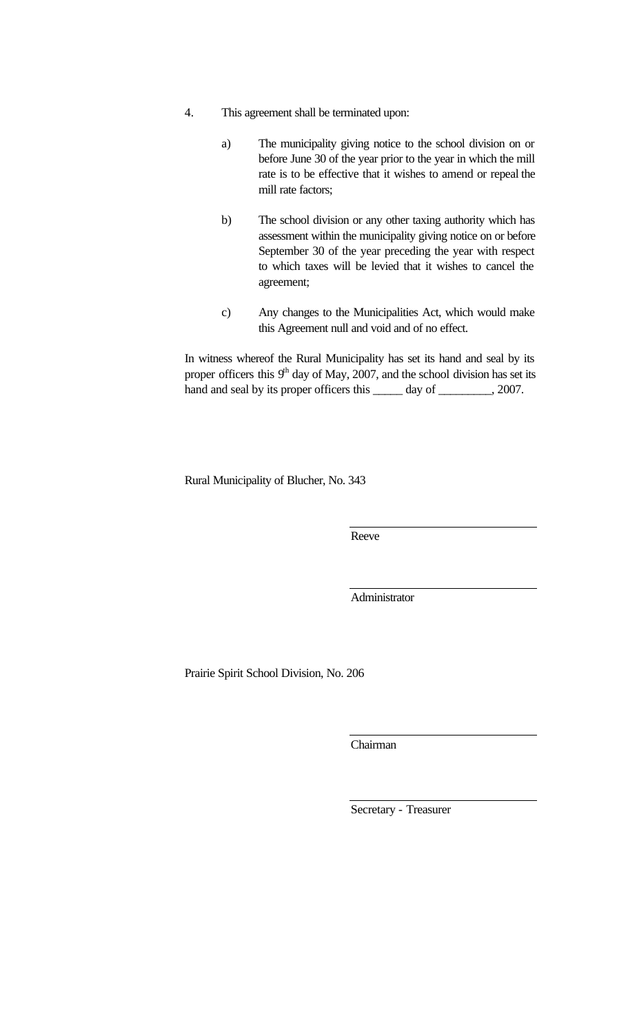- 4. This agreement shall be terminated upon:
	- a) The municipality giving notice to the school division on or before June 30 of the year prior to the year in which the mill rate is to be effective that it wishes to amend or repeal the mill rate factors;
	- b) The school division or any other taxing authority which has assessment within the municipality giving notice on or before September 30 of the year preceding the year with respect to which taxes will be levied that it wishes to cancel the agreement;
	- c) Any changes to the Municipalities Act, which would make this Agreement null and void and of no effect.

In witness whereof the Rural Municipality has set its hand and seal by its proper officers this  $9<sup>th</sup>$  day of May, 2007, and the school division has set its hand and seal by its proper officers this \_\_\_\_\_\_ day of \_\_\_\_\_\_\_\_, 2007.

Rural Municipality of Blucher, No. 343

Reeve

Administrator

Prairie Spirit School Division, No. 206

Chairman

Secretary - Treasurer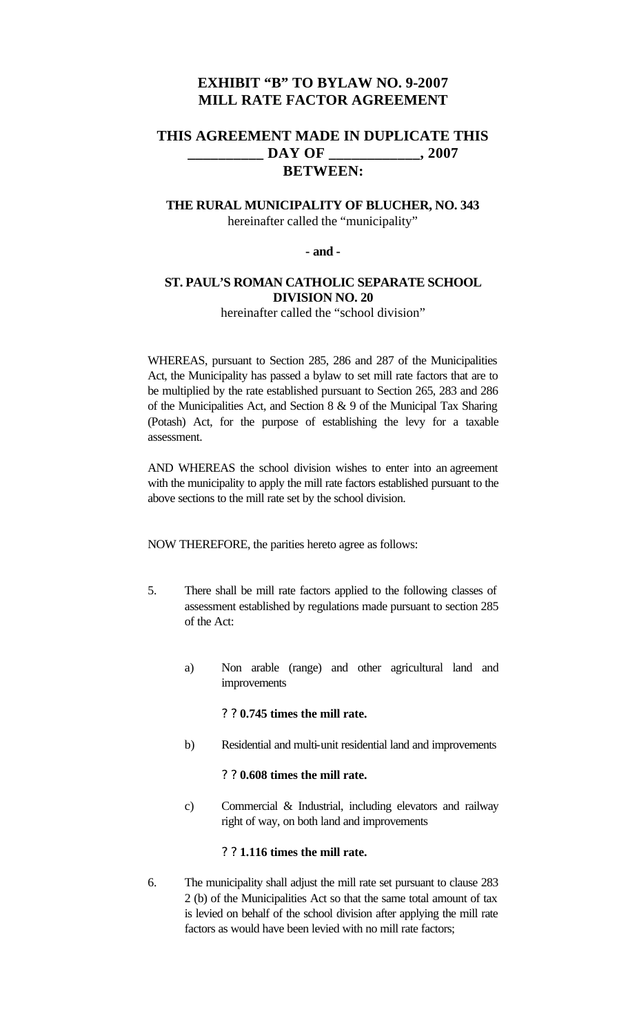# **EXHIBIT "B" TO BYLAW NO. 9-2007 MILL RATE FACTOR AGREEMENT**

# **THIS AGREEMENT MADE IN DUPLICATE THIS \_\_\_\_\_\_\_\_\_\_ DAY OF \_\_\_\_\_\_\_\_\_\_\_\_, 2007 BETWEEN:**

## **THE RURAL MUNICIPALITY OF BLUCHER, NO. 343** hereinafter called the "municipality"

### **- and -**

## **ST. PAUL'S ROMAN CATHOLIC SEPARATE SCHOOL DIVISION NO. 20**

hereinafter called the "school division"

WHEREAS, pursuant to Section 285, 286 and 287 of the Municipalities Act, the Municipality has passed a bylaw to set mill rate factors that are to be multiplied by the rate established pursuant to Section 265, 283 and 286 of the Municipalities Act, and Section 8 & 9 of the Municipal Tax Sharing (Potash) Act, for the purpose of establishing the levy for a taxable assessment.

AND WHEREAS the school division wishes to enter into an agreement with the municipality to apply the mill rate factors established pursuant to the above sections to the mill rate set by the school division.

NOW THEREFORE, the parities hereto agree as follows:

- 5. There shall be mill rate factors applied to the following classes of assessment established by regulations made pursuant to section 285 of the Act:
	- a) Non arable (range) and other agricultural land and improvements

## ? ? **0.745 times the mill rate.**

b) Residential and multi-unit residential land and improvements

### ? ? **0.608 times the mill rate.**

c) Commercial & Industrial, including elevators and railway right of way, on both land and improvements

## ? ? **1.116 times the mill rate.**

6. The municipality shall adjust the mill rate set pursuant to clause 283 2 (b) of the Municipalities Act so that the same total amount of tax is levied on behalf of the school division after applying the mill rate factors as would have been levied with no mill rate factors;